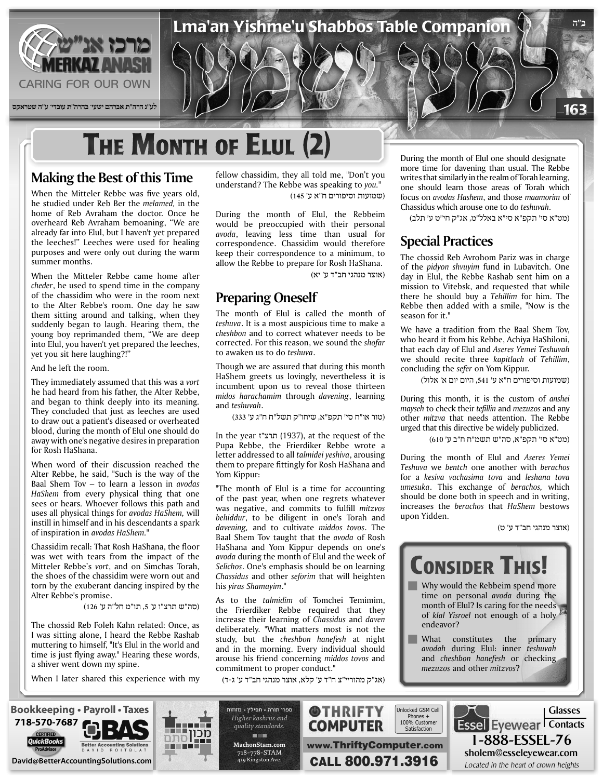

## **THE MONTH OF ELULI (2)**

#### **Making the Best of this Time**

When the Mitteler Rebbe was five years old, he studied under Reb Ber the *melamed*, in the home of Reb Avraham the doctor. Once he overheard Reb Avraham bemoaning, "We are already far into Elul, but I haven't yet prepared the leeches!" Leeches were used for healing purposes and were only out during the warm summer months.

When the Mitteler Rebbe came home after cheder, he used to spend time in the company of the chassidim who were in the room next to the Alter Rebbe's room. One day he saw them sitting around and talking, when they suddenly began to laugh. Hearing them, the young boy reprimanded them, "We are deep into Elul, you haven't yet prepared the leeches, yet you sit here laughing?!"

And he left the room.

They immediately assumed that this was a *vort* he had heard from his father, the Alter Rebbe, and began to think deeply into its meaning. They concluded that just as leeches are used to draw out a patient's diseased or overheated blood, during the month of Elul one should do away with one's negative desires in preparation for Rosh HaShana.

When word of their discussion reached the Alter Rebbe, he said, "Such is the way of the Baal Shem Toy – to learn a lesson in *avodas* HaShem from every physical thing that one sees or hears. Whoever follows this path and uses all physical things for avodas HaShem, will instill in himself and in his descendants a spark of inspiration in *avodas HaShem.*"

Chassidim recall: That Rosh HaShana, the floor was wet with tears from the impact of the Mitteler Rebbe's vort, and on Simchas Torah, the shoes of the chassidim were worn out and torn by the exuberant dancing inspired by the Alter Rebbe's promise.

(סה"ש תרצ"ו ע' ,5 תו"מ חל"ה ע' 126)

The chossid Reb Foleh Kahn related: Once, as I was sitting alone, I heard the Rebbe Rashab muttering to himself, "It's Elul in the world and time is just flying away." Hearing these words, a shiver went down my spine.

When I later shared this experience with my

fellow chassidim, they all told me, "Don't you understand? The Rebbe was speaking to you." (שמועות וסיפורים ח"א ע' 145)

During the month of Elul, the Rebbeim would be preoccupied with their personal avoda, leaving less time than usual for correspondence. Chassidim would therefore keep their correspondence to a minimum, to allow the Rebbe to prepare for Rosh HaShana.

(אוצר מנהגי חב"ד ע' יא)

#### **Preparing Oneself**

The month of Elul is called the month of teshuva. It is a most auspicious time to make a cheshbon and to correct whatever needs to be corrected. For this reason, we sound the *shofar* to awaken us to do teshuva.

Though we are assured that during this month HaShem greets us lovingly, nevertheless it is incumbent upon us to reveal those thirteen  $midos$  *harachamim* through *davening*, learning and teshuvah.

(טור או"ח סי' תקפ"א, שיחו"ק תשל"ח ח"ג ע' 333)

In the year (1937), at the request of the Pupa Rebbe, the Frierdiker Rebbe wrote a letter addressed to all *talmidei* yeshiva, arousing them to prepare fittingly for Rosh HaShana and Yom Kippur:

"The month of Elul is a time for accounting of the past year, when one regrets whatever was negative, and commits to fulfill *mitzvos* behiddur, to be diligent in one's Torah and *davening*, and to cultivate *middos tovos*. The Baal Shem Tov taught that the *avoda* of Rosh HaShana and Yom Kippur depends on one's avoda during the month of Elul and the week of Selichos. One's emphasis should be on learning *Chassidus* and other *seforim* that will heighten his *viras* Shamayim."

As to the *talmidim* of Tomchei Temimim, the Frierdiker Rebbe required that they increase their learning of *Chassidus* and *daven* deliberately. "What matters most is not the study, but the *cheshbon hanefesh* at night and in the morning. Every individual should arouse his friend concerning *middos tovos* and commitment to proper conduct."

(אג"ק מהוריי"צ ח"ד ע' קלא, אוצר מנהגי חב"ד ע' ג-ד)

During the month of Elul one should designate more time for davening than usual. The Rebbe writes that similarly in the realm of Torah learning, one should learn those areas of Torah which focus on *avodas Hashem*, and those *maamorim* of Chassidus which arouse one to do teshuvah.

(מט"א סי' תקפ"א סי"א באלל"מ, אג"ק חי"ט ע' תלב)

#### **Special Practices**

The chossid Reb Avrohom Pariz was in charge of the *pidyon shvuyim* fund in Lubavitch. One day in Elul, the Rebbe Rashab sent him on a mission to Vitebsk, and requested that while there he should buy a *Tehillim* for him. The Rebbe then added with a smile. "Now is the season for it."

We have a tradition from the Baal Shem Tov, who heard it from his Rebbe, Achiya HaShiloni, that each day of Elul and Aseres Yemei Teshuvah we should recite three *kapitlach* of *Tehillim*. concluding the *sefer* on Yom Kippur.

(שמועות וסיפורים ח"א ע' ,541 היום יום א' אלול)

During this month, it is the custom of *anshei* mayseh to check their *tefillin* and *mezuzos* and any other *mitzva* that needs attention. The Rebbe urged that this directive be widely publicized.

(מט"א סי' תקפ"א, סה"ש תשמ"ח ח"ב ע' 610)

During the month of Elul and Aseres Yemei *Teshuva* we *bentch* one another with *berachos* for a kesiva vachasima tova and *leshana* tova *umesuka*. This exchange of berachos, which should be done both in speech and in writing, increases the *berachos* that *HaShem* bestows upon Yidden.

(אוצר מנהגי חב"ד ע' ט)